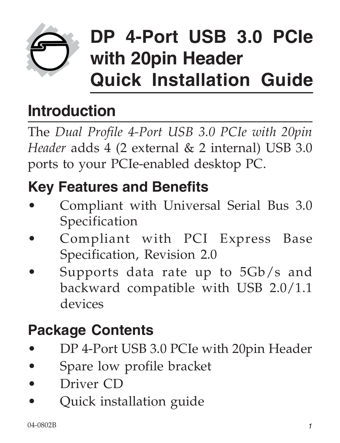

# **DP 4-Port USB 3.0 PCIe with 20pin Header Quick Installation Guide**

# **Introduction**

The *Dual Profile 4-Port USB 3.0 PCIe with 20pin Header* adds 4 (2 external & 2 internal) USB 3.0 ports to your PCIe-enabled desktop PC.

### **Key Features and Benefits**

- Compliant with Universal Serial Bus 3.0 Specification
- Compliant with PCI Express Base Specification, Revision 2.0
- Supports data rate up to 5Gb/s and backward compatible with USB 2.0/1.1 devices

#### **Package Contents**

- DP 4-Port USB 3.0 PCIe with 20pin Header
- Spare low profile bracket
- Driver CD
- Quick installation guide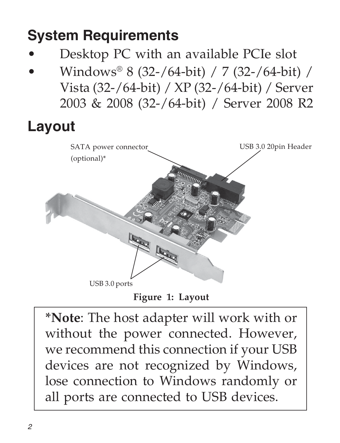### **System Requirements**

- Desktop PC with an available PCIe slot
- Windows® 8 (32-/64-bit) / 7 (32-/64-bit) / Vista (32-/64-bit) / XP (32-/64-bit) / Server 2003 & 2008 (32-/64-bit) / Server 2008 R2

#### **Layout**



**Figure 1: Layout**

**\*Note**: The host adapter will work with or without the power connected. However, we recommend this connection if your USB devices are not recognized by Windows, lose connection to Windows randomly or all ports are connected to USB devices.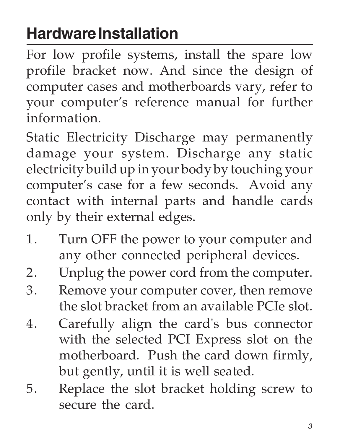# **Hardware Installation**

For low profile systems, install the spare low profile bracket now. And since the design of computer cases and motherboards vary, refer to your computer's reference manual for further information.

Static Electricity Discharge may permanently damage your system. Discharge any static electricity build up in your body by touching your computer's case for a few seconds. Avoid any contact with internal parts and handle cards only by their external edges.

- 1. Turn OFF the power to your computer and any other connected peripheral devices.
- 2. Unplug the power cord from the computer.
- 3. Remove your computer cover, then remove the slot bracket from an available PCIe slot.
- 4. Carefully align the card's bus connector with the selected PCI Express slot on the motherboard. Push the card down firmly, but gently, until it is well seated.
- 5. Replace the slot bracket holding screw to secure the card.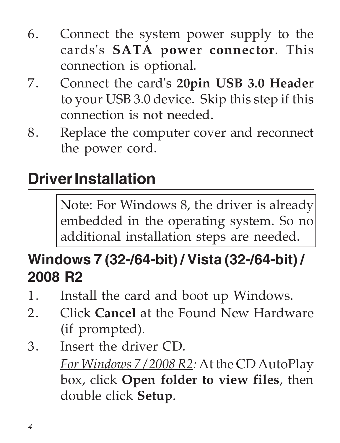- 6. Connect the system power supply to the cards's **SATA power connector**. This connection is optional.
- 7. Connect the card's **20pin USB 3.0 Header** to your USB 3.0 device. Skip this step if this connection is not needed.
- 8. Replace the computer cover and reconnect the power cord.

# **Driver Installation**

Note: For Windows 8, the driver is already embedded in the operating system. So no additional installation steps are needed.

#### **Windows 7 (32-/64-bit) / Vista (32-/64-bit) / 2008 R2**

- 1. Install the card and boot up Windows.
- 2. Click **Cancel** at the Found New Hardware (if prompted).
- 3. Insert the driver CD. *For Windows 7 / 2008 R2:* At the CD AutoPlay box, click **Open folder to view files**, then double click **Setup**.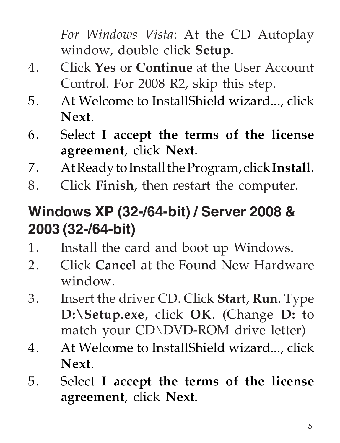*For Windows Vista*: At the CD Autoplay window, double click **Setup**.

- 4. Click **Yes** or **Continue** at the User Account Control. For 2008 R2, skip this step.
- 5. At Welcome to InstallShield wizard..., click **Next**.
- 6. Select **I accept the terms of the license agreement**, click **Next**.
- 7. At Ready to Install the Program, click **Install**.
- 8. Click **Finish**, then restart the computer.

#### **Windows XP (32-/64-bit) / Server 2008 & 2003 (32-/64-bit)**

- 1. Install the card and boot up Windows.
- 2. Click **Cancel** at the Found New Hardware window.
- 3. Insert the driver CD. Click **Start**, **Run**. Type **D:\Setup.exe**, click **OK**. (Change **D:** to match your CD\DVD-ROM drive letter)
- 4. At Welcome to InstallShield wizard..., click **Next**.
- 5. Select **I accept the terms of the license agreement**, click **Next**.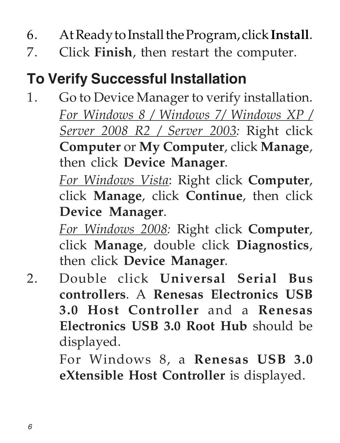- 6. At Ready to Install the Program, click **Install**.
- 7. Click **Finish**, then restart the computer.

#### **To Verify Successful Installation**

1. Go to Device Manager to verify installation. *For Windows 8 / Windows 7/ Windows XP / Server 2008 R2 / Server 2003:* Right click **Computer** or **My Computer**, click **Manage**, then click **Device Manager**.

> *For Windows Vista*: Right click **Computer**, click **Manage**, click **Continue**, then click **Device Manager**.

> *For Windows 2008:* Right click **Computer**, click **Manage**, double click **Diagnostics**, then click **Device Manager**.

2. Double click **Universal Serial Bus controllers**. A **Renesas Electronics USB 3.0 Host Controller** and a **Renesas Electronics USB 3.0 Root Hub** should be displayed.

> For Windows 8, a **Renesas USB 3.0 eXtensible Host Controller** is displayed.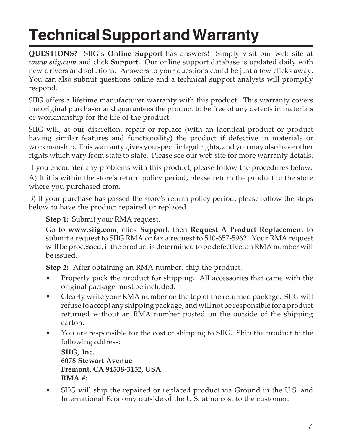# **Technical Support and Warranty**

**QUESTIONS?** SIIG's **Online Support** has answers! Simply visit our web site at *www.siig.com* and click **Support**. Our online support database is updated daily with new drivers and solutions. Answers to your questions could be just a few clicks away. You can also submit questions online and a technical support analysts will promptly respond.

SIIG offers a lifetime manufacturer warranty with this product. This warranty covers the original purchaser and guarantees the product to be free of any defects in materials or workmanship for the life of the product.

SIIG will, at our discretion, repair or replace (with an identical product or product having similar features and functionality) the product if defective in materials or workmanship. This warranty gives you specific legal rights, and you may also have other rights which vary from state to state. Please see our web site for more warranty details.

If you encounter any problems with this product, please follow the procedures below. A) If it is within the store's return policy period, please return the product to the store where you purchased from.

B) If your purchase has passed the store's return policy period, please follow the steps below to have the product repaired or replaced.

**Step 1:** Submit your RMA request.

Go to **www.siig.com**, click **Support**, then **Request A Product Replacement** to submit a request to SIIG RMA or fax a request to 510-657-5962. Your RMA request will be processed, if the product is determined to be defective, an RMA number will be issued.

**Step 2:** After obtaining an RMA number, ship the product.

- Properly pack the product for shipping. All accessories that came with the original package must be included.
- Clearly write your RMA number on the top of the returned package. SIIG will refuse to accept any shipping package, and will not be responsible for a product returned without an RMA number posted on the outside of the shipping carton.
- You are responsible for the cost of shipping to SIIG. Ship the product to the following address:

**SIIG, Inc. 6078 Stewart Avenue Fremont, CA 94538-3152, USA RMA #:**

• SIIG will ship the repaired or replaced product via Ground in the U.S. and International Economy outside of the U.S. at no cost to the customer.